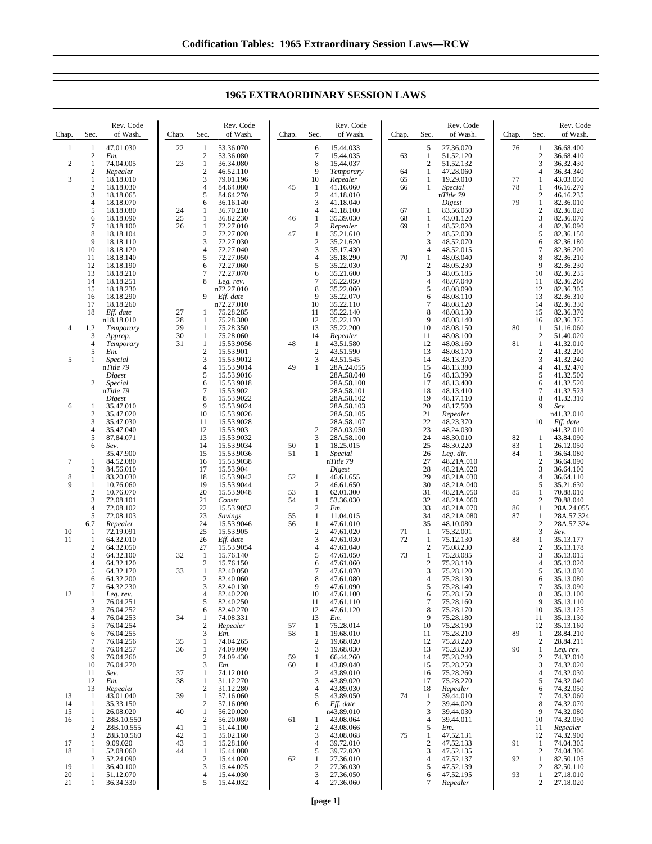Chap. Sec. Rev. Code of Wash.  $\frac{1}{2}$   $\frac{47.01.030}{Em}$ 2 *Em.* 2 1 74.04.005<br>2 Repealer 2 *Repealer* 3 1 18.18.010<br>2 18.18.030 2 18.18.030<br>3 18.18.065 3 18.18.065<br>4 18.18.070 4 18.18.070 5 18.18.080<br>6 18.18.090<br>7 18.18.100 18.18.090 7 18.18.100 8 18.18.104<br>9 18.18.110 9 18.18.110<br>10 18.18.120 10 18.18.120 18.18.140 12 18.18.190<br>13 18.18.210 13 18.18.210<br>14 18.18.251 14 18.18.251 15 18.18.230 16 18.18.290 17 18.18.260 18 *Eff. date* n18.18.010 4 1,2 *Temporary* 3 *Approp.* 4 *Temporary* 5 *Em.* 5 1 *Special* n*Title 79 Digest* 2 *Special* n*Title 79 Digest* 6 1 35.47.010 2 35.47.020<br>3 35.47.030  $\frac{3}{3}$   $\frac{35.47.030}{35.47.040}$ 4 35.47.040<br>5 87.84.071 5 87.84.071 6 *Sev.* 35.47.900 7 1 84.52.080<br>2 84.56.010 84.56.010 8 1 83.20.030<br>9 1 10.76.060 1 10.76.060<br>2 10.76.070<br>3 72.08.101 2 10.76.070 3 72.08.101<br>4 72.08.102 72.08.102 5 72.08.103 6,7 *Repealer* 10 1 72.19.091  $\begin{array}{cccc} 10 & 1 & 72.19.091 \\ 11 & 1 & 64.32.010 \\ 2 & 64.32.050 \end{array}$  $\begin{array}{r} 2 & 64.32.050 \\ 3 & 64.32.100 \end{array}$ 3 64.32.100 4 64.32.120<br>5 64.32.170 5 64.32.170  $64.32.200$ <br>  $764.32.230$ 64.32.230 12 1 *Leg. rev.* 2 76.04.251  $3$  76.04.252<br>4 76.04.253 4 76.04.253 5 76.04.254<br>6 76.04.255<br>7 76.04.256 6 76.04.255 7 76.04.256<br>8 76.04.257<br>9 76.04.260 76.04.257 9 76.04.260<br>10 76.04.270 10 76.04.270<br>11 *Sev.* 11 *Sev.* 12 *Em.* 13 *Repealer* 13 1 43.01.040 14 1 35.33.150<br>15 1 26.08.020 15 1 26.08.020<br>16 1 28B.10.55 28B.10.550 2 28B.10.555<br>3 28B.10.560  $\overline{3}$  28B.10.560<br>1 9.09.020 17 1 9.09.020<br>18 1 52.08.06 1 52.08.060<br>2 52.24.090 Chap. Sec Rev. Code of Wash. 22 1 53.36.070<br>2 53.36.080 2 53.36.080<br>1 36.34.080 23 1 36.34.080<br>2 46.52.110 2 46.52.110<br>3 79.01.196 3 79.01.196<br>4 84.64.080 4 84.64.080<br>5 84.64.270 5 84.64.270<br>6 36.16.140 6 36.16.140<br>1 36.70.210 24 1 36.70.210<br>25 1 36.82.230<br>26 1 72.27.010  $\frac{1}{1}$  36.82.230<br>1 72.27.010  $\frac{72.27.010}{72.27.020}$  $\frac{2}{3}$   $\frac{72.27.020}{72.27.030}$ 3 72.27.030 4 72.27.040<br>5 72.27.050<br>6 72.27.060 5 72.27.050 6 72.27.060 7 72.27.070<br>8 Leg. rev. Leg. rev. n72.27.010 9 *Eff. date* n72.27.010 27 1 75.28.285<br>28 1 75.28.300 28 1 75.28.300 75.28.350 30 1 75.28.060<br>31 1 15.53.905  $\begin{array}{r} 1 & 15.53.9056 \\ 2 & 15.53.901 \end{array}$ 2 15.53.901 3 15.53.9012<br>4 15.53.9014 4 15.53.9014 5 15.53.9016  $\frac{15.53.9018}{7}$  15.53.902 7 15.53.902 8 15.53.9022 9 15.53.9024<br>10 15.53.9026 10 15.53.9026<br>11 15.53.9028 11 15.53.9028<br>12 15.53.903 12 15.53.903<br>13 15.53.9032 13 15.53.9032 14 15.53.9034 15 15.53.9036<br>16 15.53.9038 16 15.53.9038<br>17 15.53.904 17 15.53.904 18 15.53.9042<br>19 15.53.9044 19 15.53.9044 20 15.53.9048<br>21 Constr. 21 *Constr.* 22 15.53.9052 23 *Savings* 24 15.53.9046 25 15.53.905<br>26 Eff. date 26 *Eff. date* 15.53.9054 32 1 15.76.140<br>2 15.76.150 2 15.76.150<br>1 82.40.050 33 1 82.40.050<br>2 82.40.060 2 82.40.060<br>3 82.40.130 3 82.40.130<br>4 82.40.220 4 82.40.220<br>5 82.40.250 5 82.40.250<br>6 82.40.270<br>1 74.08.331 82.40.270 34 1 74.08.331<br>2 *Repealer* 2 *Repealer* 3 *Em.* 35 1 74.04.265  $\frac{1}{2}$  74.09.090  $\frac{2}{3}$  74.09.430 3 *Em.* 37 1 74.12.010<br>38 1 31.12.270  $\begin{array}{r} 1 & 31.12.270 \\ 2 & 31.12.280 \end{array}$ 2 31.12.280 39 1 57.16.060  $\frac{2}{1}$  57.16.090 40 1 56.20.020<br>2 56.20.080 56.20.080 41 1 51.44.100<br>42 1 35.02.160 42 1 35.02.160 43 1 15.28.180<br>44 1 15.44.080 1 15.44.080 Chap. Sec. Rev. Code of Wash.  $\frac{6}{7}$  15.44.033 7 15.44.035<br>8 15.44.037 8 15.44.037 9 *Temporary* 10 *Repealer* 45 1 41.16.060 2 41.18.010<br>3 41.18.040 3 41.18.040 4 41.18.100<br>1 35.39.030 46 1 35.39.030<br>2 *Repealer* 2 *Repealer* 47 1 35.21.610 2 35.21.620<br>3 35.17.430 3 35.17.430<br>4 35.18.290<br>5 35.22.030 4 35.18.290 5 35.22.030<br>6 35.21.600 35.21.600 7 35.22.050 8 35.22.060<br>9 35.22.070 9 35.22.070<br>10 35.22.110  $10 \t 35.22.110$ <br>11 35.22.140 11 35.22.140 12 35.22.170<br>13 35.22.200 13 35.22.200 14 *Repealer* 48 1 43.51.580  $\frac{2}{3}$  43.51.590 3 43.51.545<br>1 28A.24.05 49 1 28A.24.055 28A.58.040 28A.58.100 28A.58.101 28A.58.102 28A.58.103 28A.58.105 28A.58.107 2 28A.03.050<br>3 28A.58.100 28A.58.100 50 1 18.25.015 51 1 *Special* n*Title 79 Digest* 52 1 46.61.655 2 46.61.650 53 1 62.01.300  $\frac{1}{2}$  53.36.030 2 *Em.* 55 1 11.04.015 56 1 47.61.010<br>2 47.61.020<br>3 47.61.030 2 47.61.020 3 47.61.030<br>4 47.61.040 47.61.040 5 47.61.050 6 47.61.060<br>7 47.61.070 7 47.61.070<br>8 47.61.080  $\begin{array}{@{}c@{}} 8 & 47.61.080 \\ 9 & 47.61.090 \end{array}$ 9 47.61.090<br>10 47.61.100 10 47.61.100<br>11 47.61.110 11 47.61.110<br>12 47.61.120  $\frac{12}{13}$   $\frac{47.61.120}{Em}$ 13 *Em.* 57 1 75.28.014 58 1 19.68.010 2 19.68.020<br>3 19.68.030 3 19.68.030<br>1 66.44.260 59 1 66.44.260  $\begin{bmatrix} 1 & 43.89.040 \\ 2 & 43.89.010 \end{bmatrix}$ 2 43.89.010<br>3 43.89.020 3 43.89.020<br>4 43.89.030 4 43.89.030 43.89.050 6 *Eff. date* n43.89.010 61 1 43.08.064 2 43.08.066<br>3 43.08.068 3 43.08.068<br>4 39.72.010  $\frac{4}{5}$  39.72.010 5 39.72.020 Chap. Sec. Rev. Code of Wash.  $5$  27.36.070<br>1 51.52.120 63 1 51.52.120 2 51.52.132<br>1 47.28.060 64 1 47.28.060 65 1 19.29.010<br>66 1 Special 66 1 *Special* n*Title 79 Digest* 67 1 83.56.050 68 1 43.01.120 1 48.52.020<br>2 48.52.030 2 48.52.030 3 48.52.070 4 48.52.015<br>1 48.03.040<br>2 48.05.230 70 1 48.03.040 2 48.05.230<br>3 48.05.185 3 48.05.185 4 48.07.040<br>5 48.08.090 5 48.08.090<br>6 48.08.110<br>7 48.08.120 48.08.110  $\begin{array}{r} 7 & 48.08.120 \\ 8 & 48.08.130 \end{array}$ 8 48.08.130<br>9 48.08.140  $\begin{array}{r} 9 & 48.08.140 \\ 10 & 48.08.150 \end{array}$ 48.08.150 11 48.08.100<br>12 48.08.160 12 48.08.160<br>13 48.08.170 13 48.08.170 14 48.13.370<br>15 48.13.380 15 48.13.380<br>16 48.13.390<br>17 48.13.400 16 48.13.390 17 48.13.400<br>18 48.13.410 18 48.13.410<br>19 48.17.110 19 48.17.110 20 48.17.500<br>21 *Repealer* 21 *Repealer* 22 48.23.370 23 48.24.030<br>24 48.30.010<br>25 48.30.220 48.30.010 25 48.30.220<br>26 *Leg. dir.* 26 *Leg. dir.* 27 48.21A.010 28 48.21A.020<br>29 48.21A.030 29 48.21A.030<br>30 48.21A.040 30 48.21A.040 31 48.21A.050 32 48.21A.060 33 48.21A.070<br>34 48.21A.080 34 48.21A.080 35 48.10.080<br>1 75.32.001 71 1 75.32.001<br>72 1 75.12.130 1 75.12.130<br>2 75.08.230<br>1 75.28.085 75.08.230 73 1 75.28.085 2 75.28.110<br>3 75.28.120<br>4 75.28.130 3 75.28.120 4 75.28.130 5 75.28.140 6 75.28.150<br>7 75.28.160 7 75.28.160<br>8 75.28.170<br>9 75.28.180 8 75.28.170 9 75.28.180<br>10 75.28.190 75.28.190 11 75.28.210<br>12 75.28.220 12 75.28.220 13 75.28.230<br>14 75.28.240 14 75.28.240<br>15 75.28.250 15 75.28.250<br>16 75.28.260 16 75.28.260<br>17 75.28.270 17 75.28.270 18 *Repealer* 74 1 39.44.010 2 39.44.020<br>3 39.44.030 3 39.44.030<br>4 39.44.011  $\frac{4}{5}$  39.44.011<br>5  $Em.$ 5 *Em.* 75 1 47.52.131  $\frac{2}{3}$  47.52.133 3 47.52.135 Chap. Sec. Rev. Code of Wash. 76 1 36.68.400<br>2 36.68.410 2 36.68.410<br>3 36.32.430 3 36.32.430<br>4 36.34.340 4 36.34.340<br>1 43.03.050 77 1 43.03.050  $\begin{array}{cc}\n 1 & 46.16.270 \\
2 & 46.16.235\n \end{array}$  $\begin{array}{r} 2 & 46.16.235 \\ 1 & 82.36.010 \end{array}$ 79 1 82.36.010 2 82.36.020<br>3 82.36.070<br>4 82.36.090 82.36.070 4 82.36.090<br>5 82.36.150  $5$  82.36.150<br>6 82.36.180 6 82.36.180<br>7 82.36.200 7 82.36.200<br>8 82.36.210<br>9 82.36.230 82.36.210  $9 \t 82.36.230$ <br>10 82.36.235 10 82.36.235<br>11 82.36.260 11 82.36.260<br>12 82.36.305 12 82.36.305<br>13 82.36.310 13 82.36.310<br>14 82.36.330 14 82.36.330<br>15 82.36.370 15 82.36.370 82.36.375 80 1 51.16.060 2 51.40.020<br>1 41.32.010 81 1 41.32.010<br>2 41.32.200  $\begin{array}{r}\n 2 \quad 41.32.200 \\
3 \quad 41.32.240\n \end{array}$ 3 41.32.240<br>4 41.32.470 4 41.32.470 5 41.32.500<br>6 41.32.520  $\begin{bmatrix} 6 & 41.32.520 \\ 7 & 41.32.523 \end{bmatrix}$ 7 41.32.523  $\begin{array}{cc} 8 & 41.32.310 \\ 9 & \text{Sev.} \end{array}$ 9 *Sev.* n41.32.010 10 *Eff. date* n41.32.010 82 1 43.84.090 83 1 26.12.050 1 36.64.080<br>2 36.64.090  $\begin{array}{r} 2 \ 36.64.090 \\ 36.64.100 \end{array}$ 36.64.100 4 36.64.110<br>5 35.21.630 5 35.21.630 85 1 70.88.010<br>2 70.88.040 2 70.88.040<br>1 28A.24.05 86 1 28A.24.055 87 1 28A.57.324 2 28A.57.324<br>3 Sev.<br>1 35.13.177 3 *Sev.* 88 1 35.13.177<br>2 35.13.178<br>3 35.13.015 2 35.13.178 3 35.13.015<br>4 35.13.020 4 35.13.020<br>5 35.13.030 5 35.13.030  $\frac{6}{7}$  35.13.080 35.13.090  $\begin{array}{@{}c@{}} 8 & 35.13.100 \\ 9 & 35.13.110 \end{array}$ 9 35.13.110<br>10 35.13.125 10 35.13.125 11 35.13.130 35.13.160 89 1 28.84.210<br>2 28.84.211 2 28.84.211<br>1 Leg. rev. 90 1 *Leg. rev.* 2 74.32.010 3 74.32.020<br>4 74.32.030 4 74.32.030<br>5 74.32.040 5 74.32.040 6 74.32.050 7 74.32.060  $\begin{array}{r} 8 \\ 74.32.070 \\ 9 \\ 74.32.080 \end{array}$ 9 74.32.080<br>10 74.32.090 10 74.32.090 11 *Repealer* 12 74.32.900 91 1 74.04.305<br>2 74.04.306 2 74.04.306<br>1 82.50.105

## **1965 EXTRAORDINARY SESSION LAWS**

62 1 27.36.010 2 27.36.030 3 27.36.050 4 27.36.060

4 47.52.137<br>5 47.52.139 5 47.52.139 6 47.52.195 7 *Repealer*

92 1 82.50.105<br>2 82.50.110<br>93 1 27.18.010 2 82.50.110 93 1 27.18.010 2 27.18.020

2 15.44.020<br>3 15.44.025<br>4 15.44.030 3 15.44.025 4 15.44.030<br>5 15.44.032 5 15.44.032

2 52.24.090<br>1 36.40.100 19 1 36.40.100 20 1 51.12.070 21 1 36.34.330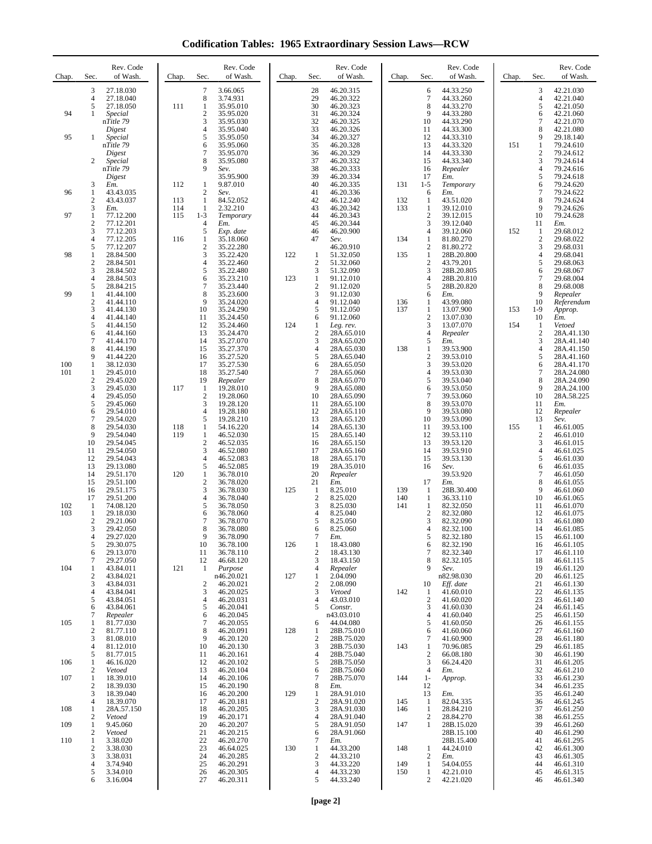**Codification Tables: 1965 Extraordinary Session Laws—RCW**

| Chap. | Sec.                         | Rev. Code<br>of Wash.  | Chap.      | Sec.                                      | Rev. Code<br>of Wash.  | Chap. | Sec.                  | Rev. Code<br>of Wash.    | Chap.      | Sec.                         | Rev. Code<br>of Wash.    | Chap. | Sec.                | Rev. Code<br>of Wash.    |
|-------|------------------------------|------------------------|------------|-------------------------------------------|------------------------|-------|-----------------------|--------------------------|------------|------------------------------|--------------------------|-------|---------------------|--------------------------|
|       | 3<br>4                       | 27.18.030<br>27.18.040 |            | $\tau$<br>8                               | 3.66.065<br>3.74.931   |       | 28<br>29              | 46.20.315<br>46.20.322   |            | 6<br>7                       | 44.33.250<br>44.33.260   |       | 3<br>4              | 42.21.030<br>42.21.040   |
| 94    | 5<br>1                       | 27.18.050              | 111        | 1                                         | 35.95.010              |       | 30                    | 46.20.323                |            | 8<br>9                       | 44.33.270                |       | 5                   | 42.21.050                |
|       |                              | Special<br>nTitle 79   |            | $\boldsymbol{2}$<br>3                     | 35.95.020<br>35.95.030 |       | 31<br>32              | 46.20.324<br>46.20.325   |            | 10                           | 44.33.280<br>44.33.290   |       | 6<br>7              | 42.21.060<br>42.21.070   |
| 95    | 1                            | Digest<br>Special      |            | 4<br>5                                    | 35.95.040<br>35.95.050 |       | 33<br>34              | 46.20.326<br>46.20.327   |            | 11<br>12                     | 44.33.300<br>44.33.310   |       | 8<br>9              | 42.21.080<br>29.18.140   |
|       |                              | nTitle 79<br>Digest    |            | 6<br>$\tau$                               | 35.95.060<br>35.95.070 |       | 35<br>36              | 46.20.328<br>46.20.329   |            | 13<br>14                     | 44.33.320<br>44.33.330   | 151   | 1<br>$\overline{c}$ | 79.24.610<br>79.24.612   |
|       | 2                            | Special<br>nTitle 79   |            | 8<br>9                                    | 35.95.080<br>Sev.      |       | 37<br>38              | 46.20.332<br>46.20.333   |            | 15<br>16                     | 44.33.340<br>Repealer    |       | 3<br>4              | 79.24.614<br>79.24.616   |
|       |                              | Digest                 |            |                                           | 35.95.900              |       | 39                    | 46.20.334                |            | 17                           | Em.                      |       | 5                   | 79.24.618                |
| 96    | 3<br>1                       | Em.<br>43.43.035       | 112        | 1<br>$\overline{2}$                       | 9.87.010<br>Sev.       |       | 40<br>41              | 46.20.335<br>46.20.336   | 131        | $1 - 5$<br>6                 | Temporary<br>Em.         |       | 6<br>7              | 79.24.620<br>79.24.622   |
|       | $\mathbf{2}$<br>3            | 43.43.037<br>Em.       | 113<br>114 | 1<br>1                                    | 84.52.052<br>2.32.210  |       | 42<br>43              | 46.12.240<br>46.20.342   | 132<br>133 | 1<br>1                       | 43.51.020<br>39.12.010   |       | 8<br>9              | 79.24.624<br>79.24.626   |
| 97    | 1<br>$\overline{\mathbf{c}}$ | 77.12.200<br>77.12.201 | 115        | $1 - 3$<br>$\overline{4}$                 | Temporary<br>Em.       |       | 44<br>45              | 46.20.343<br>46.20.344   |            | $\overline{c}$<br>3          | 39.12.015<br>39.12.040   |       | 10<br>11            | 79.24.628<br>Em.         |
|       | 3<br>$\overline{4}$          | 77.12.203<br>77.12.205 | 116        | 5<br>1                                    | Exp. date<br>35.18.060 |       | 46<br>47              | 46.20.900                | 134        | 4<br>1                       | 39.12.060                | 152   | 1<br>$\overline{c}$ | 29.68.012<br>29.68.022   |
|       | 5                            | 77.12.207              |            | $\overline{2}$                            | 35.22.280              |       |                       | Sev.<br>46.20.910        |            | $\overline{c}$               | 81.80.270<br>81.80.272   |       | 3                   | 29.68.031                |
| 98    | 1<br>$\overline{\mathbf{c}}$ | 28.84.500<br>28.84.501 |            | 3<br>$\overline{4}$                       | 35.22.420<br>35.22.460 | 122   | 1<br>$\overline{2}$   | 51.32.050<br>51.32.060   | 135        | 1<br>$\overline{c}$          | 28B.20.800<br>43.79.201  |       | 4<br>5              | 29.68.041<br>29.68.063   |
|       | 3<br>4                       | 28.84.502<br>28.84.503 |            | 5<br>6                                    | 35.22.480<br>35.23.210 | 123   | 3<br>$\mathbf{1}$     | 51.32.090<br>91.12.010   |            | 3<br>4                       | 28B.20.805<br>28B.20.810 |       | 6<br>$\tau$         | 29.68.067<br>29.68.004   |
| 99    | 5<br>1                       | 28.84.215<br>41.44.100 |            | $\tau$<br>8                               | 35.23.440<br>35.23.600 |       | $\sqrt{2}$<br>3       | 91.12.020<br>91.12.030   |            | 5<br>6                       | 28B.20.820<br>Em.        |       | 8<br>9              | 29.68.008<br>Repealer    |
|       | $\overline{\mathbf{c}}$<br>3 | 41.44.110              |            | 9<br>10                                   | 35.24.020<br>35.24.290 |       | $\overline{4}$<br>5   | 91.12.040<br>91.12.050   | 136<br>137 | 1<br>1                       | 43.99.080<br>13.07.900   | 153   | 10<br>$1-9$         | Referendum               |
|       | 4                            | 41.44.130<br>41.44.140 |            | 11                                        | 35.24.450              |       | 6                     | 91.12.060                |            | $\overline{c}$               | 13.07.030                |       | 10                  | Approp.<br>Em.           |
|       | 5<br>6                       | 41.44.150<br>41.44.160 |            | 12<br>13                                  | 35.24.460<br>35.24.470 | 124   | 1<br>$\boldsymbol{2}$ | Leg. rev.<br>28A.65.010  |            | 3<br>4                       | 13.07.070<br>Repealer    | 154   | 1<br>$\overline{c}$ | Vetoed<br>28A.41.130     |
|       | 7<br>8                       | 41.44.170<br>41.44.190 |            | 14<br>15                                  | 35.27.070<br>35.27.370 |       | 3<br>$\overline{4}$   | 28A.65.020<br>28A.65.030 | 138        | 5<br>$\mathbf{1}$            | Em.<br>39.53.900         |       | 3<br>$\overline{4}$ | 28A.41.140<br>28A.41.150 |
| 100   | 9<br>$\mathbf{1}$            | 41.44.220<br>38.12.030 |            | 16<br>17                                  | 35.27.520<br>35.27.530 |       | 5<br>6                | 28A.65.040<br>28A.65.050 |            | $\overline{c}$<br>3          | 39.53.010<br>39.53.020   |       | 5<br>6              | 28A.41.160<br>28A.41.170 |
| 101   | 1<br>$\sqrt{2}$              | 29.45.010<br>29.45.020 |            | 18<br>19                                  | 35.27.540<br>Repealer  |       | $\overline{7}$<br>8   | 28A.65.060<br>28A.65.070 |            | 4<br>5                       | 39.53.030<br>39.53.040   |       | 7<br>8              | 28A.24.080<br>28A.24.090 |
|       | 3                            | 29.45.030              | 117        | -1                                        | 19.28.010              |       | 9                     | 28A.65.080               |            | 6                            | 39.53.050                |       | 9                   | 28A.24.100               |
|       | 4<br>5                       | 29.45.050<br>29.45.060 |            | $\overline{2}$<br>3                       | 19.28.060<br>19.28.120 |       | 10<br>11              | 28A.65.090<br>28A.65.100 |            | 7<br>8                       | 39.53.060<br>39.53.070   |       | 10<br>11            | 28A.58.225<br>Em.        |
|       | 6<br>$\overline{7}$          | 29.54.010<br>29.54.020 |            | $\overline{4}$<br>5                       | 19.28.180<br>19.28.210 |       | 12<br>13              | 28A.65.110<br>28A.65.120 |            | 9<br>10                      | 39.53.080<br>39.53.090   |       | 12<br>13            | Repealer<br>Sev.         |
|       | 8<br>9                       | 29.54.030<br>29.54.040 | 118<br>119 | 1<br>1                                    | 54.16.220<br>46.52.030 |       | 14<br>15              | 28A.65.130<br>28A.65.140 |            | 11<br>12                     | 39.53.100<br>39.53.110   | 155   | 1<br>$\overline{2}$ | 46.61.005<br>46.61.010   |
|       | 10<br>11                     | 29.54.045<br>29.54.050 |            | 2<br>3                                    | 46.52.035<br>46.52.080 |       | 16<br>17              | 28A.65.150<br>28A.65.160 |            | 13<br>14                     | 39.53.120<br>39.53.910   |       | 3<br>$\overline{4}$ | 46.61.015<br>46.61.025   |
|       | 12                           | 29.54.043              |            | $\overline{4}$                            | 46.52.083              |       | 18                    | 28A.65.170               |            | 15                           | 39.53.130                |       | 5                   | 46.61.030                |
|       | 13<br>14                     | 29.13.080<br>29.51.170 | 120        | 5<br>$\mathbf{1}$                         | 46.52.085<br>36.78.010 |       | 19<br>20              | 28A.35.010<br>Repealer   |            | 16                           | Sev.<br>39.53.920        |       | 6<br>7              | 46.61.035<br>46.61.050   |
|       | 15<br>16                     | 29.51.100<br>29.51.175 |            | $\boldsymbol{2}$<br>3                     | 36.78.020<br>36.78.030 | 125   | 21<br>$\mathbf{1}$    | Em.<br>8.25.010          | 139        | 17<br>$\mathbf{1}$           | Em.<br>28B.30.400        |       | 8<br>9              | 46.61.055<br>46.61.060   |
| 102   | 17<br>1                      | 29.51.200<br>74.08.120 |            | $\overline{4}$<br>5                       | 36.78.040<br>36.78.050 |       | $\sqrt{2}$<br>3       | 8.25.020<br>8.25.030     | 140<br>141 | $\mathbf{1}$<br>$\mathbf{1}$ | 36.33.110<br>82.32.050   |       | 10<br>11            | 46.61.065<br>46.61.070   |
| 103   | 1<br>$\overline{c}$          | 29.18.030<br>29.21.060 |            | 6<br>7                                    | 36.78.060<br>36.78.070 |       | $\overline{4}$<br>5   | 8.25.040<br>8.25.050     |            | $\overline{c}$<br>3          | 82.32.080<br>82.32.090   |       | 12<br>13            | 46.61.075<br>46.61.080   |
|       | 3                            | 29.42.050<br>29.27.020 |            | 8<br>9                                    | 36.78.080              |       | 6<br>$\boldsymbol{7}$ | 8.25.060                 |            | 4                            | 82.32.100<br>82.32.180   |       | 14                  | 46.61.085<br>46.61.100   |
|       | 4<br>5                       | 29.30.075              |            | 10                                        | 36.78.090<br>36.78.100 | 126   | 1                     | Em.<br>18.43.080         |            | 5<br>6                       | 82.32.190                |       | 15<br>16            | 46.61.105                |
|       | 6<br>7                       | 29.13.070<br>29.27.050 |            | 11<br>12                                  | 36.78.110<br>46.68.120 |       | $\overline{c}$<br>3   | 18.43.130<br>18.43.150   |            | 7<br>8                       | 82.32.340<br>82.32.105   |       | 17<br>18            | 46.61.110<br>46.61.115   |
| 104   | 1<br>$\boldsymbol{2}$        | 43.84.011<br>43.84.021 | 121        | 1                                         | Purpose<br>n46.20.021  | 127   | 4<br>$\mathbf{1}$     | Repealer<br>2.04.090     |            | 9                            | Sev.<br>n82.98.030       |       | 19<br>20            | 46.61.120<br>46.61.125   |
|       | 3<br>4                       | 43.84.031<br>43.84.041 |            | $\overline{\mathbf{c}}$<br>$\mathfrak{Z}$ | 46.20.021<br>46.20.025 |       | $\boldsymbol{2}$<br>3 | 2.08.090<br>Vetoed       | 142        | 10<br>-1                     | Eff. date<br>41.60.010   |       | 21<br>22            | 46.61.130<br>46.61.135   |
|       | 5<br>6                       | 43.84.051<br>43.84.061 |            | $\overline{4}$<br>5                       | 46.20.031<br>46.20.041 |       | $\overline{4}$<br>5   | 43.03.010<br>Constr.     |            | 2<br>3                       | 41.60.020<br>41.60.030   |       | 23<br>24            | 46.61.140<br>46.61.145   |
| 105   | 7<br>1                       | Repealer               |            | 6<br>$\tau$                               | 46.20.045<br>46.20.055 |       |                       | n43.03.010<br>44.04.080  |            | 4<br>5                       | 41.60.040                |       | 25<br>26            | 46.61.150<br>46.61.155   |
|       | $\boldsymbol{2}$             | 81.77.030<br>81.77.110 |            | 8                                         | 46.20.091              | 128   | 6<br>1                | 28B.75.010               |            | 6                            | 41.60.050<br>41.60.060   |       | 27                  | 46.61.160                |
|       | 3<br>4                       | 81.08.010<br>81.12.010 |            | 9<br>10                                   | 46.20.120<br>46.20.130 |       | $\overline{2}$<br>3   | 28B.75.020<br>28B.75.030 | 143        | 7<br>1                       | 41.60.900<br>70.96.085   |       | 28<br>29            | 46.61.180<br>46.61.185   |
| 106   | 5<br>1                       | 81.77.015<br>46.16.020 |            | 11<br>12                                  | 46.20.161<br>46.20.102 |       | $\overline{4}$<br>5   | 28B.75.040<br>28B.75.050 |            | $\overline{c}$<br>3          | 66.08.180<br>66.24.420   |       | 30<br>31            | 46.61.190<br>46.61.205   |
| 107   | 2<br>1                       | Vetoed<br>18.39.010    |            | 13<br>14                                  | 46.20.104<br>46.20.106 |       | 6<br>$\tau$           | 28B.75.060<br>28B.75.070 | 144        | 4<br>$1-$                    | Em.<br>Approp.           |       | 32<br>33            | 46.61.210<br>46.61.230   |
|       | $\overline{2}$<br>3          | 18.39.030<br>18.39.040 |            | 15<br>16                                  | 46.20.190<br>46.20.200 | 129   | 8<br>$\mathbf{1}$     | Em.<br>28A.91.010        |            | 12<br>13                     | Em.                      |       | 34<br>35            | 46.61.235<br>46.61.240   |
|       | $\overline{4}$               | 18.39.070              |            | 17                                        | 46.20.181              |       | $\mathfrak{2}$        | 28A.91.020               | 145        | -1                           | 82.04.335                |       | 36                  | 46.61.245                |
| 108   | 1<br>2                       | 28A.57.150<br>Vetoed   |            | 18<br>19                                  | 46.20.205<br>46.20.171 |       | 3<br>$\overline{4}$   | 28A.91.030<br>28A.91.040 | 146        | 1<br>$\overline{c}$          | 28.84.210<br>28.84.270   |       | 37<br>38            | 46.61.250<br>46.61.255   |
| 109   | 1<br>$\mathbf{2}$            | 9.45.060<br>Vetoed     |            | 20<br>21                                  | 46.20.207<br>46.20.215 |       | 5<br>6                | 28A.91.050<br>28A.91.060 | 147        | 1                            | 28B.15.020<br>28B.15.100 |       | 39<br>40            | 46.61.260<br>46.61.290   |
| 110   | 1<br>$\overline{c}$          | 3.38.020<br>3.38.030   |            | 22<br>23                                  | 46.20.270<br>46.64.025 | 130   | 7<br>1                | Em.<br>44.33.200         | 148        | $\mathbf{1}$                 | 28B.15.400<br>44.24.010  |       | 41<br>42            | 46.61.295<br>46.61.300   |
|       | 3<br>4                       | 3.38.031<br>3.74.940   |            | 24<br>25                                  | 46.20.285<br>46.20.291 |       | $\sqrt{2}$<br>3       | 44.33.210<br>44.33.220   | 149        | 2<br>$\mathbf{1}$            | Em.<br>54.04.055         |       | 43<br>44            | 46.61.305<br>46.61.310   |
|       | 5                            | 3.34.010               |            | 26<br>27                                  | 46.20.305              |       | $\overline{4}$<br>5   | 44.33.230                | 150        | 1<br>2                       | 42.21.010                |       | 45                  | 46.61.315                |
|       | 6                            | 3.16.004               |            |                                           | 46.20.311              |       |                       | 44.33.240                |            |                              | 42.21.020                |       | 46                  | 46.61.340                |